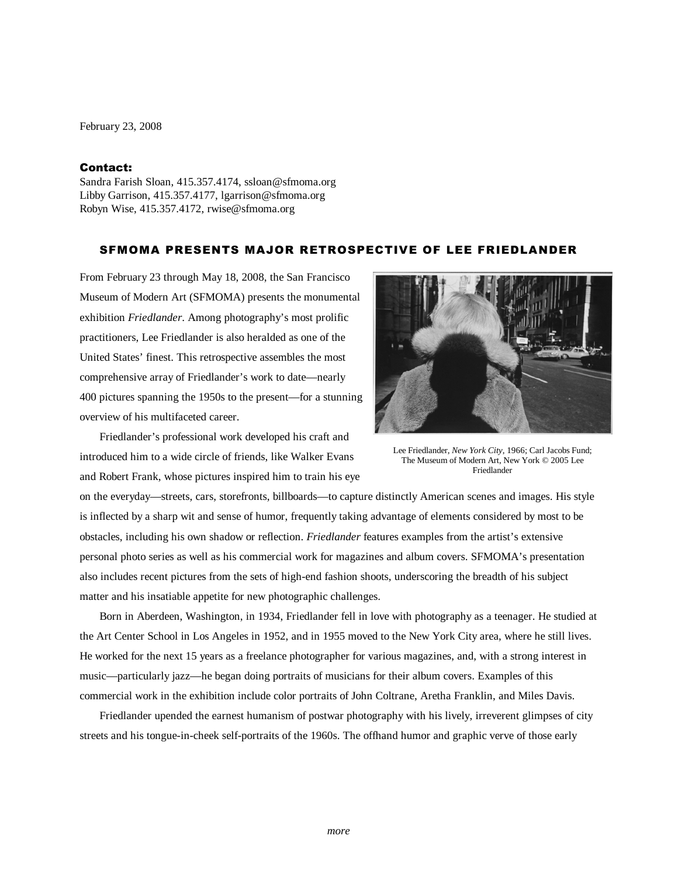February 23, 2008

## Contact:

Sandra Farish Sloan, 415.357.4174, ssloan@sfmoma.org Libby Garrison, 415.357.4177, lgarrison@sfmoma.org Robyn Wise, 415.357.4172, rwise@sfmoma.org

## SFMOMA PRESENTS MAJOR RETROSPECTIVE OF LEE FRIEDLANDER

From February 23 through May 18, 2008, the San Francisco Museum of Modern Art (SFMOMA) presents the monumental exhibition *Friedlander*. Among photography's most prolific practitioners, Lee Friedlander is also heralded as one of the United States' finest. This retrospective assembles the most comprehensive array of Friedlander's work to date—nearly 400 pictures spanning the 1950s to the present—for a stunning overview of his multifaceted career.



Friedlander's professional work developed his craft and introduced him to a wide circle of friends, like Walker Evans and Robert Frank, whose pictures inspired him to train his eye

Lee Friedlander, *New York City*, 1966; Carl Jacobs Fund; The Museum of Modern Art, New York © 2005 Lee Friedlander

on the everyday—streets, cars, storefronts, billboards—to capture distinctly American scenes and images. His style is inflected by a sharp wit and sense of humor, frequently taking advantage of elements considered by most to be obstacles, including his own shadow or reflection. *Friedlander* features examples from the artist's extensive personal photo series as well as his commercial work for magazines and album covers. SFMOMA's presentation also includes recent pictures from the sets of high-end fashion shoots, underscoring the breadth of his subject matter and his insatiable appetite for new photographic challenges.

Born in Aberdeen, Washington, in 1934, Friedlander fell in love with photography as a teenager. He studied at the Art Center School in Los Angeles in 1952, and in 1955 moved to the New York City area, where he still lives. He worked for the next 15 years as a freelance photographer for various magazines, and, with a strong interest in music—particularly jazz—he began doing portraits of musicians for their album covers. Examples of this commercial work in the exhibition include color portraits of John Coltrane, Aretha Franklin, and Miles Davis.

Friedlander upended the earnest humanism of postwar photography with his lively, irreverent glimpses of city streets and his tongue-in-cheek self-portraits of the 1960s. The offhand humor and graphic verve of those early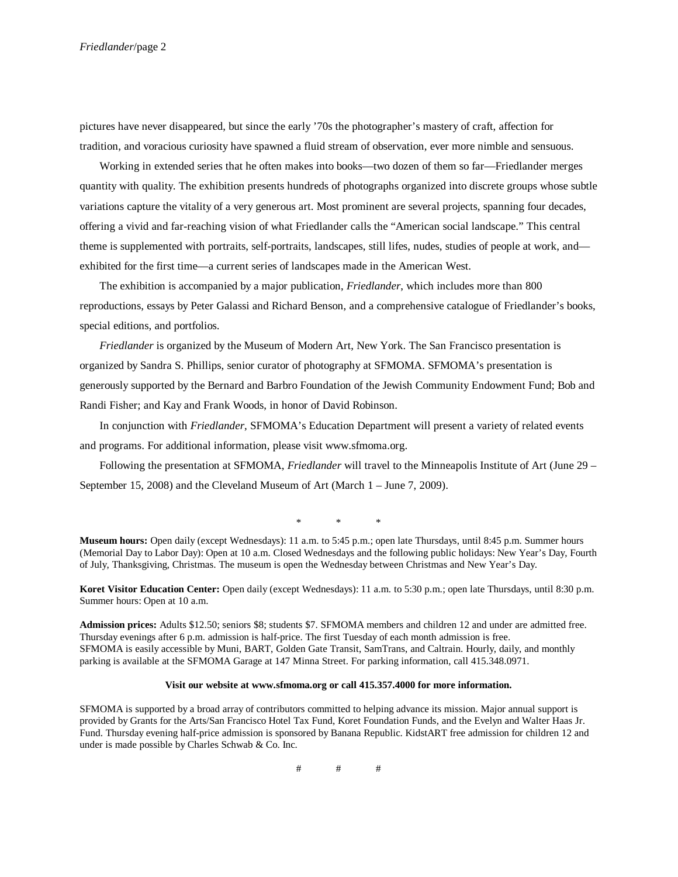pictures have never disappeared, but since the early '70s the photographer's mastery of craft, affection for tradition, and voracious curiosity have spawned a fluid stream of observation, ever more nimble and sensuous.

Working in extended series that he often makes into books—two dozen of them so far—Friedlander merges quantity with quality. The exhibition presents hundreds of photographs organized into discrete groups whose subtle variations capture the vitality of a very generous art. Most prominent are several projects, spanning four decades, offering a vivid and far-reaching vision of what Friedlander calls the "American social landscape." This central theme is supplemented with portraits, self-portraits, landscapes, still lifes, nudes, studies of people at work, and exhibited for the first time—a current series of landscapes made in the American West.

The exhibition is accompanied by a major publication, *Friedlander*, which includes more than 800 reproductions, essays by Peter Galassi and Richard Benson, and a comprehensive catalogue of Friedlander's books, special editions, and portfolios.

*Friedlander* is organized by the Museum of Modern Art, New York. The San Francisco presentation is organized by Sandra S. Phillips, senior curator of photography at SFMOMA. SFMOMA's presentation is generously supported by the Bernard and Barbro Foundation of the Jewish Community Endowment Fund; Bob and Randi Fisher; and Kay and Frank Woods, in honor of David Robinson.

In conjunction with *Friedlander*, SFMOMA's Education Department will present a variety of related events and programs. For additional information, please visit www.sfmoma.org.

Following the presentation at SFMOMA, *Friedlander* will travel to the Minneapolis Institute of Art (June 29 – September 15, 2008) and the Cleveland Museum of Art (March 1 – June 7, 2009).

\* \* \*

**Museum hours:** Open daily (except Wednesdays): 11 a.m. to 5:45 p.m.; open late Thursdays, until 8:45 p.m. Summer hours (Memorial Day to Labor Day): Open at 10 a.m. Closed Wednesdays and the following public holidays: New Year's Day, Fourth of July, Thanksgiving, Christmas. The museum is open the Wednesday between Christmas and New Year's Day.

**Koret Visitor Education Center:** Open daily (except Wednesdays): 11 a.m. to 5:30 p.m.; open late Thursdays, until 8:30 p.m. Summer hours: Open at 10 a.m.

**Admission prices:** Adults \$12.50; seniors \$8; students \$7. SFMOMA members and children 12 and under are admitted free. Thursday evenings after 6 p.m. admission is half-price. The first Tuesday of each month admission is free. SFMOMA is easily accessible by Muni, BART, Golden Gate Transit, SamTrans, and Caltrain. Hourly, daily, and monthly parking is available at the SFMOMA Garage at 147 Minna Street. For parking information, call 415.348.0971.

## **Visit our website at www.sfmoma.org or call 415.357.4000 for more information.**

SFMOMA is supported by a broad array of contributors committed to helping advance its mission. Major annual support is provided by Grants for the Arts/San Francisco Hotel Tax Fund, Koret Foundation Funds, and the Evelyn and Walter Haas Jr. Fund. Thursday evening half-price admission is sponsored by Banana Republic. KidstART free admission for children 12 and under is made possible by Charles Schwab & Co. Inc.

# # #